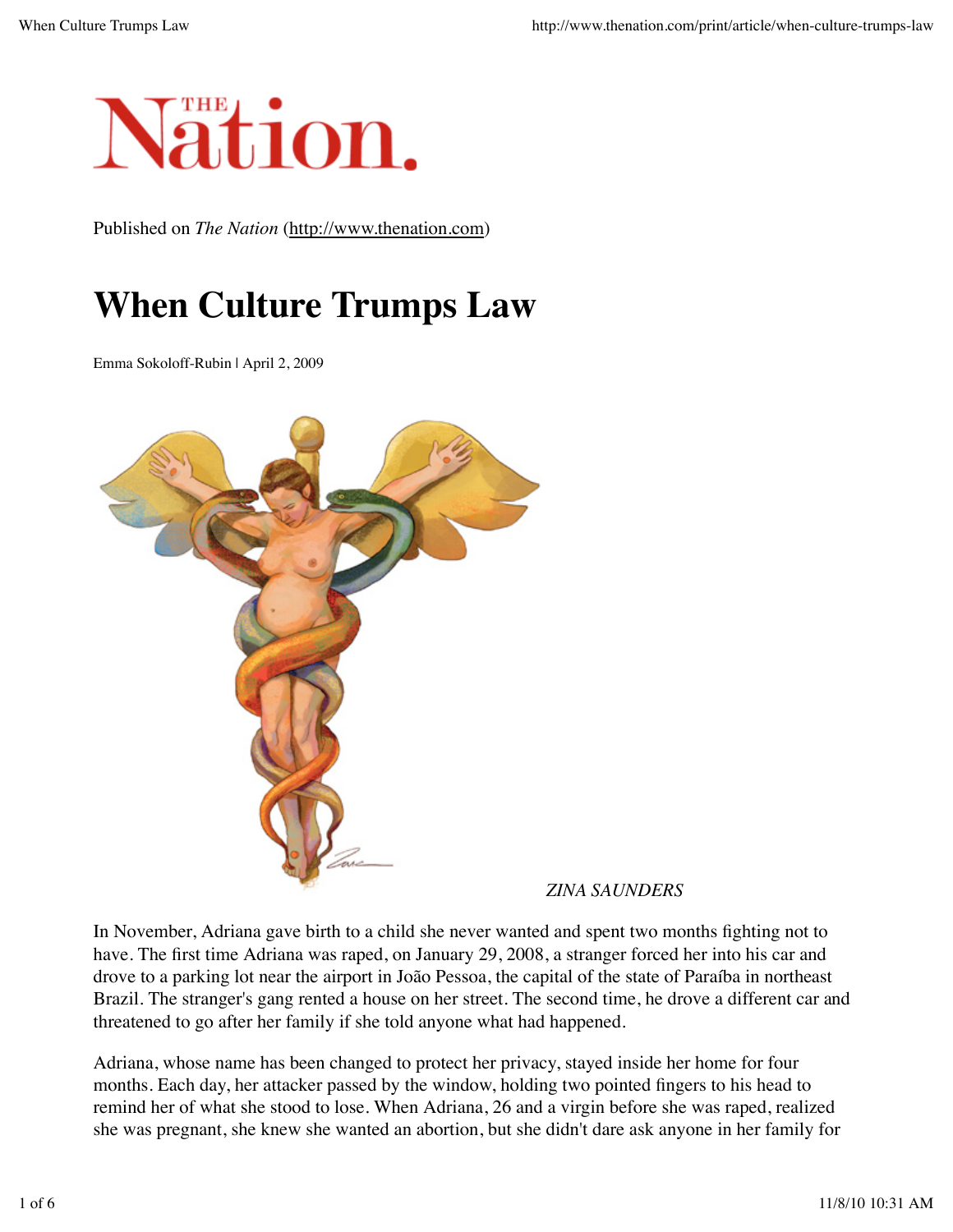

Published on *The Nation* (http://www.thenation.com)

## **When Culture Trumps Law**

Emma Sokoloff-Rubin | April 2, 2009



*ZINA SAUNDERS*

In November, Adriana gave birth to a child she never wanted and spent two months fighting not to have. The first time Adriana was raped, on January 29, 2008, a stranger forced her into his car and drove to a parking lot near the airport in João Pessoa, the capital of the state of Paraíba in northeast Brazil. The stranger's gang rented a house on her street. The second time, he drove a different car and threatened to go after her family if she told anyone what had happened.

Adriana, whose name has been changed to protect her privacy, stayed inside her home for four months. Each day, her attacker passed by the window, holding two pointed fingers to his head to remind her of what she stood to lose. When Adriana, 26 and a virgin before she was raped, realized she was pregnant, she knew she wanted an abortion, but she didn't dare ask anyone in her family for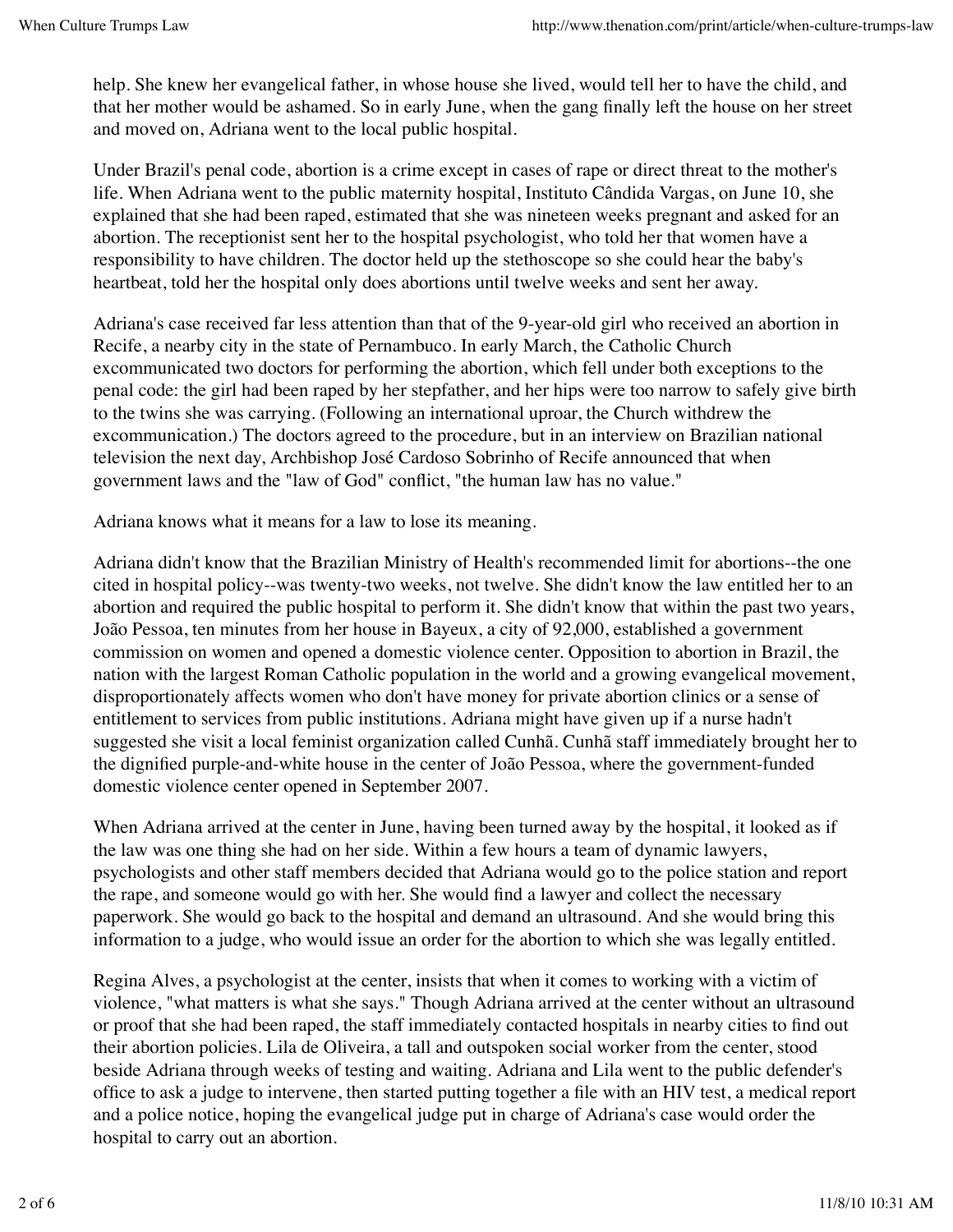help. She knew her evangelical father, in whose house she lived, would tell her to have the child, and that her mother would be ashamed. So in early June, when the gang finally left the house on her street and moved on, Adriana went to the local public hospital.

Under Brazil's penal code, abortion is a crime except in cases of rape or direct threat to the mother's life. When Adriana went to the public maternity hospital, Instituto Cândida Vargas, on June 10, she explained that she had been raped, estimated that she was nineteen weeks pregnant and asked for an abortion. The receptionist sent her to the hospital psychologist, who told her that women have a responsibility to have children. The doctor held up the stethoscope so she could hear the baby's heartbeat, told her the hospital only does abortions until twelve weeks and sent her away.

Adriana's case received far less attention than that of the 9-year-old girl who received an abortion in Recife, a nearby city in the state of Pernambuco. In early March, the Catholic Church excommunicated two doctors for performing the abortion, which fell under both exceptions to the penal code: the girl had been raped by her stepfather, and her hips were too narrow to safely give birth to the twins she was carrying. (Following an international uproar, the Church withdrew the excommunication.) The doctors agreed to the procedure, but in an interview on Brazilian national television the next day, Archbishop José Cardoso Sobrinho of Recife announced that when government laws and the "law of God" conflict, "the human law has no value."

Adriana knows what it means for a law to lose its meaning.

Adriana didn't know that the Brazilian Ministry of Health's recommended limit for abortions--the one cited in hospital policy--was twenty-two weeks, not twelve. She didn't know the law entitled her to an abortion and required the public hospital to perform it. She didn't know that within the past two years, João Pessoa, ten minutes from her house in Bayeux, a city of 92,000, established a government commission on women and opened a domestic violence center. Opposition to abortion in Brazil, the nation with the largest Roman Catholic population in the world and a growing evangelical movement, disproportionately affects women who don't have money for private abortion clinics or a sense of entitlement to services from public institutions. Adriana might have given up if a nurse hadn't suggested she visit a local feminist organization called Cunhã. Cunhã staff immediately brought her to the dignified purple-and-white house in the center of João Pessoa, where the government-funded domestic violence center opened in September 2007.

When Adriana arrived at the center in June, having been turned away by the hospital, it looked as if the law was one thing she had on her side. Within a few hours a team of dynamic lawyers, psychologists and other staff members decided that Adriana would go to the police station and report the rape, and someone would go with her. She would find a lawyer and collect the necessary paperwork. She would go back to the hospital and demand an ultrasound. And she would bring this information to a judge, who would issue an order for the abortion to which she was legally entitled.

Regina Alves, a psychologist at the center, insists that when it comes to working with a victim of violence, "what matters is what she says." Though Adriana arrived at the center without an ultrasound or proof that she had been raped, the staff immediately contacted hospitals in nearby cities to find out their abortion policies. Lila de Oliveira, a tall and outspoken social worker from the center, stood beside Adriana through weeks of testing and waiting. Adriana and Lila went to the public defender's office to ask a judge to intervene, then started putting together a file with an HIV test, a medical report and a police notice, hoping the evangelical judge put in charge of Adriana's case would order the hospital to carry out an abortion.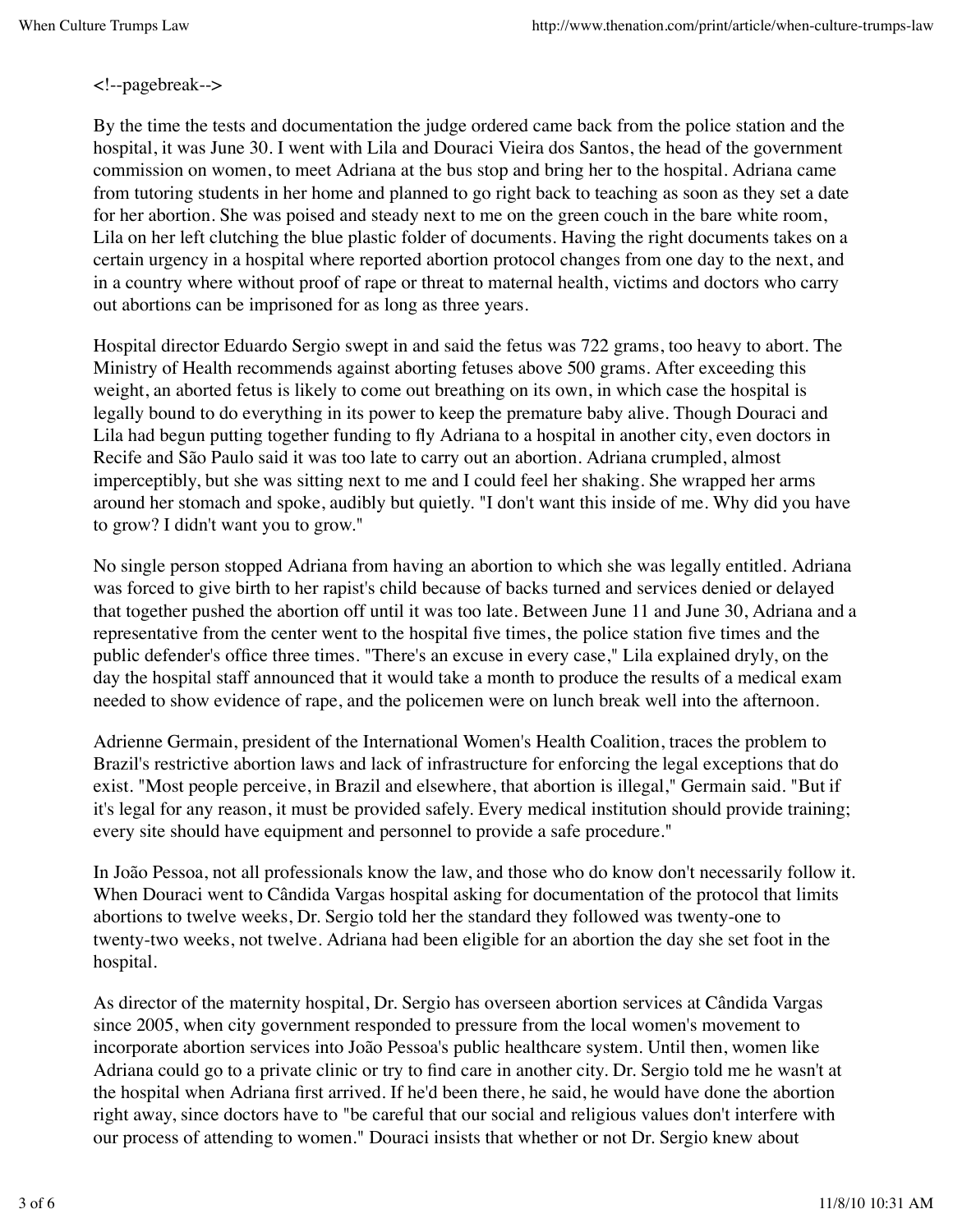<!--pagebreak-->

By the time the tests and documentation the judge ordered came back from the police station and the hospital, it was June 30. I went with Lila and Douraci Vieira dos Santos, the head of the government commission on women, to meet Adriana at the bus stop and bring her to the hospital. Adriana came from tutoring students in her home and planned to go right back to teaching as soon as they set a date for her abortion. She was poised and steady next to me on the green couch in the bare white room, Lila on her left clutching the blue plastic folder of documents. Having the right documents takes on a certain urgency in a hospital where reported abortion protocol changes from one day to the next, and in a country where without proof of rape or threat to maternal health, victims and doctors who carry out abortions can be imprisoned for as long as three years.

Hospital director Eduardo Sergio swept in and said the fetus was 722 grams, too heavy to abort. The Ministry of Health recommends against aborting fetuses above 500 grams. After exceeding this weight, an aborted fetus is likely to come out breathing on its own, in which case the hospital is legally bound to do everything in its power to keep the premature baby alive. Though Douraci and Lila had begun putting together funding to fly Adriana to a hospital in another city, even doctors in Recife and São Paulo said it was too late to carry out an abortion. Adriana crumpled, almost imperceptibly, but she was sitting next to me and I could feel her shaking. She wrapped her arms around her stomach and spoke, audibly but quietly. "I don't want this inside of me. Why did you have to grow? I didn't want you to grow."

No single person stopped Adriana from having an abortion to which she was legally entitled. Adriana was forced to give birth to her rapist's child because of backs turned and services denied or delayed that together pushed the abortion off until it was too late. Between June 11 and June 30, Adriana and a representative from the center went to the hospital five times, the police station five times and the public defender's office three times. "There's an excuse in every case," Lila explained dryly, on the day the hospital staff announced that it would take a month to produce the results of a medical exam needed to show evidence of rape, and the policemen were on lunch break well into the afternoon.

Adrienne Germain, president of the International Women's Health Coalition, traces the problem to Brazil's restrictive abortion laws and lack of infrastructure for enforcing the legal exceptions that do exist. "Most people perceive, in Brazil and elsewhere, that abortion is illegal," Germain said. "But if it's legal for any reason, it must be provided safely. Every medical institution should provide training; every site should have equipment and personnel to provide a safe procedure."

In João Pessoa, not all professionals know the law, and those who do know don't necessarily follow it. When Douraci went to Cândida Vargas hospital asking for documentation of the protocol that limits abortions to twelve weeks, Dr. Sergio told her the standard they followed was twenty-one to twenty-two weeks, not twelve. Adriana had been eligible for an abortion the day she set foot in the hospital.

As director of the maternity hospital, Dr. Sergio has overseen abortion services at Cândida Vargas since 2005, when city government responded to pressure from the local women's movement to incorporate abortion services into João Pessoa's public healthcare system. Until then, women like Adriana could go to a private clinic or try to find care in another city. Dr. Sergio told me he wasn't at the hospital when Adriana first arrived. If he'd been there, he said, he would have done the abortion right away, since doctors have to "be careful that our social and religious values don't interfere with our process of attending to women." Douraci insists that whether or not Dr. Sergio knew about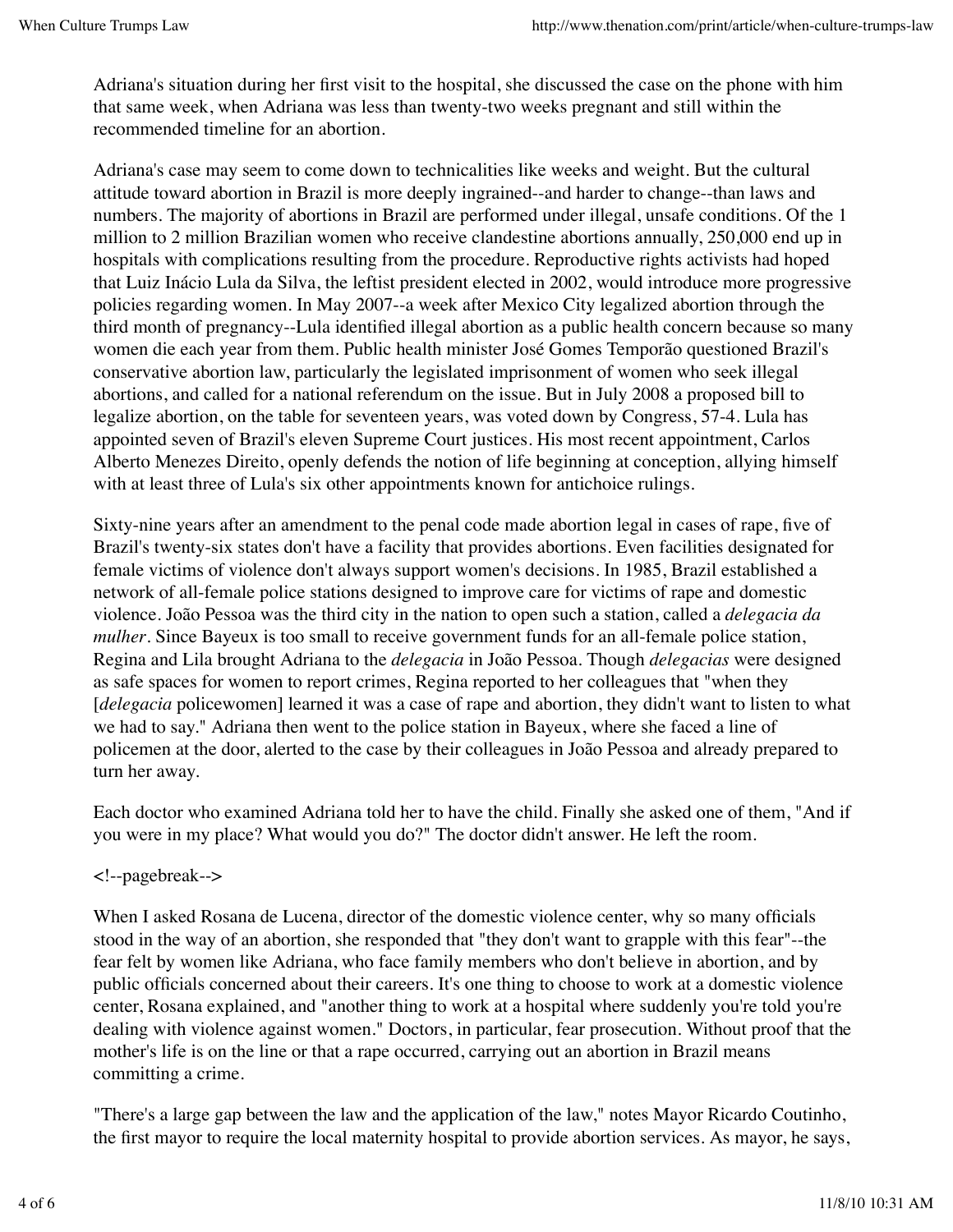Adriana's situation during her first visit to the hospital, she discussed the case on the phone with him that same week, when Adriana was less than twenty-two weeks pregnant and still within the recommended timeline for an abortion.

Adriana's case may seem to come down to technicalities like weeks and weight. But the cultural attitude toward abortion in Brazil is more deeply ingrained--and harder to change--than laws and numbers. The majority of abortions in Brazil are performed under illegal, unsafe conditions. Of the 1 million to 2 million Brazilian women who receive clandestine abortions annually, 250,000 end up in hospitals with complications resulting from the procedure. Reproductive rights activists had hoped that Luiz Inácio Lula da Silva, the leftist president elected in 2002, would introduce more progressive policies regarding women. In May 2007--a week after Mexico City legalized abortion through the third month of pregnancy--Lula identified illegal abortion as a public health concern because so many women die each year from them. Public health minister José Gomes Temporão questioned Brazil's conservative abortion law, particularly the legislated imprisonment of women who seek illegal abortions, and called for a national referendum on the issue. But in July 2008 a proposed bill to legalize abortion, on the table for seventeen years, was voted down by Congress, 57-4. Lula has appointed seven of Brazil's eleven Supreme Court justices. His most recent appointment, Carlos Alberto Menezes Direito, openly defends the notion of life beginning at conception, allying himself with at least three of Lula's six other appointments known for antichoice rulings.

Sixty-nine years after an amendment to the penal code made abortion legal in cases of rape, five of Brazil's twenty-six states don't have a facility that provides abortions. Even facilities designated for female victims of violence don't always support women's decisions. In 1985, Brazil established a network of all-female police stations designed to improve care for victims of rape and domestic violence. João Pessoa was the third city in the nation to open such a station, called a *delegacia da mulher*. Since Bayeux is too small to receive government funds for an all-female police station, Regina and Lila brought Adriana to the *delegacia* in João Pessoa. Though *delegacias* were designed as safe spaces for women to report crimes, Regina reported to her colleagues that "when they [*delegacia* policewomen] learned it was a case of rape and abortion, they didn't want to listen to what we had to say." Adriana then went to the police station in Bayeux, where she faced a line of policemen at the door, alerted to the case by their colleagues in João Pessoa and already prepared to turn her away.

Each doctor who examined Adriana told her to have the child. Finally she asked one of them, "And if you were in my place? What would you do?" The doctor didn't answer. He left the room.

## <!--pagebreak-->

When I asked Rosana de Lucena, director of the domestic violence center, why so many officials stood in the way of an abortion, she responded that "they don't want to grapple with this fear"--the fear felt by women like Adriana, who face family members who don't believe in abortion, and by public officials concerned about their careers. It's one thing to choose to work at a domestic violence center, Rosana explained, and "another thing to work at a hospital where suddenly you're told you're dealing with violence against women." Doctors, in particular, fear prosecution. Without proof that the mother's life is on the line or that a rape occurred, carrying out an abortion in Brazil means committing a crime.

"There's a large gap between the law and the application of the law," notes Mayor Ricardo Coutinho, the first mayor to require the local maternity hospital to provide abortion services. As mayor, he says,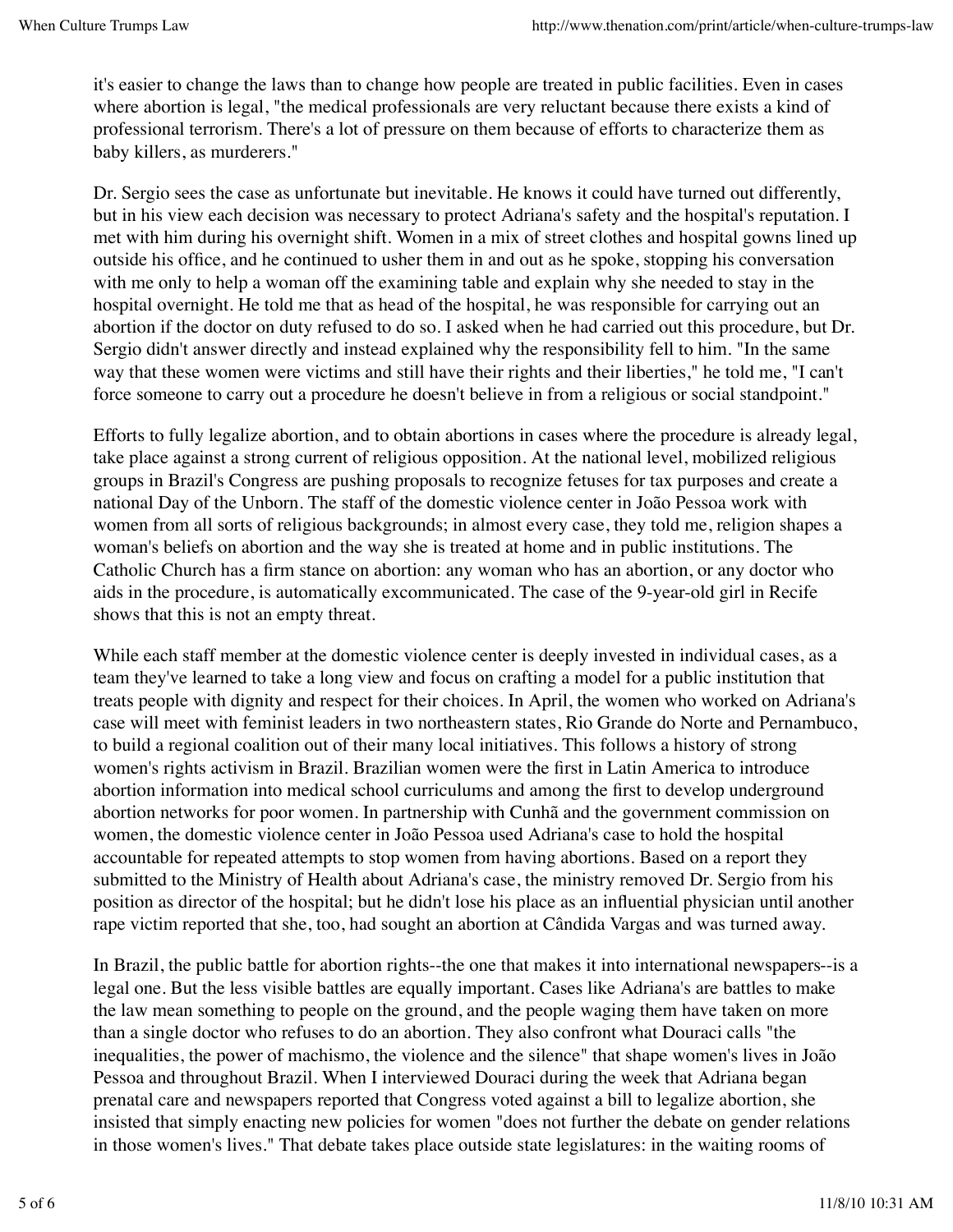it's easier to change the laws than to change how people are treated in public facilities. Even in cases where abortion is legal, "the medical professionals are very reluctant because there exists a kind of professional terrorism. There's a lot of pressure on them because of efforts to characterize them as baby killers, as murderers."

Dr. Sergio sees the case as unfortunate but inevitable. He knows it could have turned out differently, but in his view each decision was necessary to protect Adriana's safety and the hospital's reputation. I met with him during his overnight shift. Women in a mix of street clothes and hospital gowns lined up outside his office, and he continued to usher them in and out as he spoke, stopping his conversation with me only to help a woman off the examining table and explain why she needed to stay in the hospital overnight. He told me that as head of the hospital, he was responsible for carrying out an abortion if the doctor on duty refused to do so. I asked when he had carried out this procedure, but Dr. Sergio didn't answer directly and instead explained why the responsibility fell to him. "In the same way that these women were victims and still have their rights and their liberties," he told me, "I can't force someone to carry out a procedure he doesn't believe in from a religious or social standpoint."

Efforts to fully legalize abortion, and to obtain abortions in cases where the procedure is already legal, take place against a strong current of religious opposition. At the national level, mobilized religious groups in Brazil's Congress are pushing proposals to recognize fetuses for tax purposes and create a national Day of the Unborn. The staff of the domestic violence center in João Pessoa work with women from all sorts of religious backgrounds; in almost every case, they told me, religion shapes a woman's beliefs on abortion and the way she is treated at home and in public institutions. The Catholic Church has a firm stance on abortion: any woman who has an abortion, or any doctor who aids in the procedure, is automatically excommunicated. The case of the 9-year-old girl in Recife shows that this is not an empty threat.

While each staff member at the domestic violence center is deeply invested in individual cases, as a team they've learned to take a long view and focus on crafting a model for a public institution that treats people with dignity and respect for their choices. In April, the women who worked on Adriana's case will meet with feminist leaders in two northeastern states, Rio Grande do Norte and Pernambuco, to build a regional coalition out of their many local initiatives. This follows a history of strong women's rights activism in Brazil. Brazilian women were the first in Latin America to introduce abortion information into medical school curriculums and among the first to develop underground abortion networks for poor women. In partnership with Cunhã and the government commission on women, the domestic violence center in João Pessoa used Adriana's case to hold the hospital accountable for repeated attempts to stop women from having abortions. Based on a report they submitted to the Ministry of Health about Adriana's case, the ministry removed Dr. Sergio from his position as director of the hospital; but he didn't lose his place as an influential physician until another rape victim reported that she, too, had sought an abortion at Cândida Vargas and was turned away.

In Brazil, the public battle for abortion rights--the one that makes it into international newspapers--is a legal one. But the less visible battles are equally important. Cases like Adriana's are battles to make the law mean something to people on the ground, and the people waging them have taken on more than a single doctor who refuses to do an abortion. They also confront what Douraci calls "the inequalities, the power of machismo, the violence and the silence" that shape women's lives in João Pessoa and throughout Brazil. When I interviewed Douraci during the week that Adriana began prenatal care and newspapers reported that Congress voted against a bill to legalize abortion, she insisted that simply enacting new policies for women "does not further the debate on gender relations in those women's lives." That debate takes place outside state legislatures: in the waiting rooms of